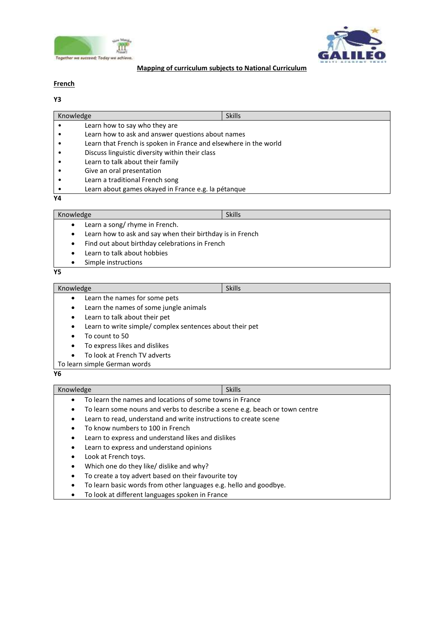



# **Mapping of curriculum subjects to National Curriculum**

# **French**

| Y3                                                        |                                                                  |               |  |
|-----------------------------------------------------------|------------------------------------------------------------------|---------------|--|
| Knowledge                                                 |                                                                  | <b>Skills</b> |  |
|                                                           | Learn how to say who they are                                    |               |  |
|                                                           | Learn how to ask and answer questions about names                |               |  |
|                                                           | Learn that French is spoken in France and elsewhere in the world |               |  |
|                                                           | Discuss linguistic diversity within their class                  |               |  |
|                                                           | Learn to talk about their family                                 |               |  |
|                                                           | Give an oral presentation                                        |               |  |
|                                                           | Learn a traditional French song                                  |               |  |
|                                                           | Learn about games okayed in France e.g. la pétanque              |               |  |
| Υ4                                                        |                                                                  |               |  |
| Knowledge                                                 |                                                                  | <b>Skills</b> |  |
| ٠                                                         | Learn a song/ rhyme in French.                                   |               |  |
| Learn how to ask and say when their birthday is in French |                                                                  |               |  |

- Find out about birthday celebrations in French
- Learn to talk about hobbies
- Simple instructions

### **Y5**

# Knowledge Skills and Skills and Skills and Skills and Skills

- Learn the names for some pets
	- Learn the names of some jungle animals
- Learn to talk about their pet
- Learn to write simple/ complex sentences about their pet
- To count to 50
- To express likes and dislikes
- To look at French TV adverts
- To learn simple German words

### **Y6**

# Knowledge Skills

- To learn the names and locations of some towns in France
- To learn some nouns and verbs to describe a scene e.g. beach or town centre
- Learn to read, understand and write instructions to create scene
- To know numbers to 100 in French
- Learn to express and understand likes and dislikes
- Learn to express and understand opinions
- Look at French toys.
- Which one do they like/ dislike and why?
- To create a toy advert based on their favourite toy
- To learn basic words from other languages e.g. hello and goodbye.
- To look at different languages spoken in France